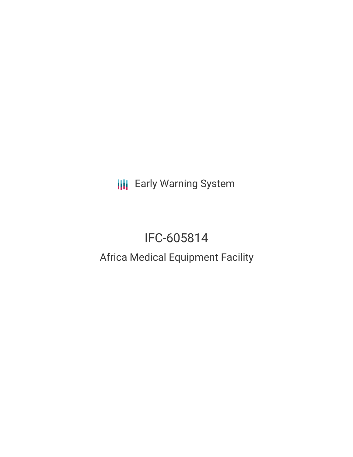**III** Early Warning System

# IFC-605814

## Africa Medical Equipment Facility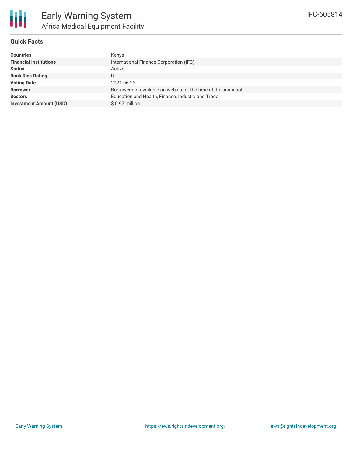

#### **Quick Facts**

| <b>Countries</b>               | Kenya                                                         |
|--------------------------------|---------------------------------------------------------------|
| <b>Financial Institutions</b>  | International Finance Corporation (IFC)                       |
| <b>Status</b>                  | Active                                                        |
| <b>Bank Risk Rating</b>        |                                                               |
| <b>Voting Date</b>             | 2021-06-23                                                    |
| <b>Borrower</b>                | Borrower not available on website at the time of the snapshot |
| <b>Sectors</b>                 | Education and Health, Finance, Industry and Trade             |
| <b>Investment Amount (USD)</b> | $$0.97$ million                                               |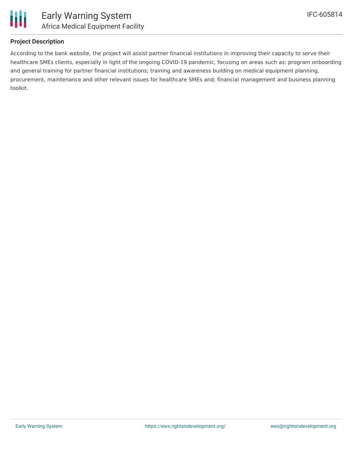

#### **Project Description**

According to the bank website, the project will assist partner financial institutions in improving their capacity to serve their healthcare SMEs clients, especially in light of the ongoing COVID-19 pandemic, focusing on areas such as: program onboarding and general training for partner financial institutions; training and awareness building on medical equipment planning, procurement, maintenance and other relevant issues for healthcare SMEs and; financial management and business planning toolkit.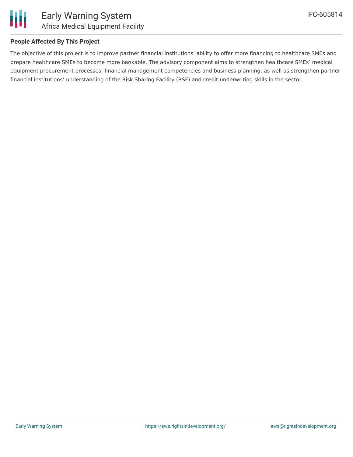

#### **People Affected By This Project**

The objective of this project is to improve partner financial institutions' ability to offer more financing to healthcare SMEs and prepare healthcare SMEs to become more bankable. The advisory component aims to strengthen healthcare SMEs' medical equipment procurement processes, financial management competencies and business planning; as well as strengthen partner financial institutions' understanding of the Risk Sharing Facility (RSF) and credit underwriting skills in the sector.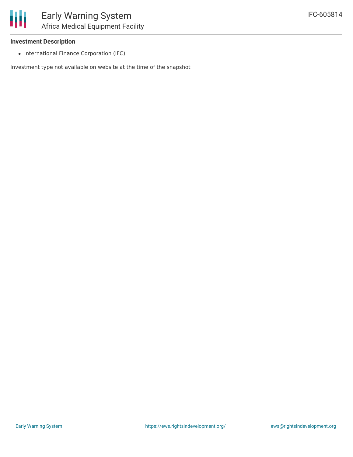• International Finance Corporation (IFC)

Investment type not available on website at the time of the snapshot